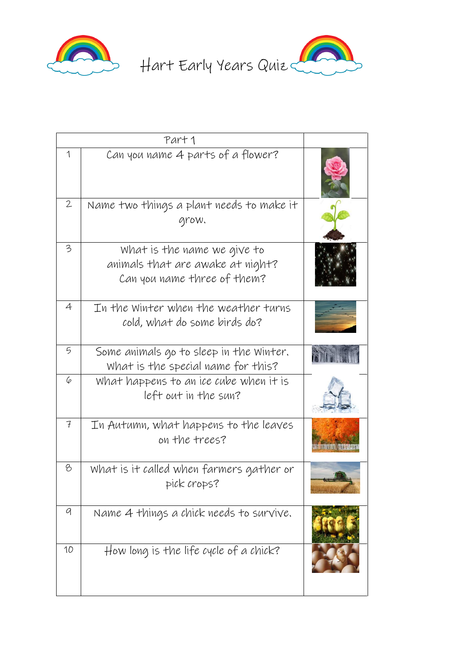

Hart Early Years Quiz

| Part 1         |                                                                                                |  |
|----------------|------------------------------------------------------------------------------------------------|--|
| 1              | Can you name 4 parts of a flower?                                                              |  |
| $\mathbf{2}$   | Name two things a plant needs to make it<br>grow.                                              |  |
| 3              | What is the name we give to<br>animals that are awake at night?<br>Can you name three of them? |  |
| $\overline{4}$ | In the Winter when the weather turns<br>cold, what do some birds do?                           |  |
| 5              | Some animals go to sleep in the Winter.<br>What is the special name for this?                  |  |
| 6              | What happens to an ice cube when it is<br>left out in the sun?                                 |  |
| $\overline{f}$ | In Autumn, what happens to the leaves<br>on the trees?                                         |  |
| 8              | What is it called when farmers gather or<br>pick crops?                                        |  |
| $\mathcal{Q}$  | Name 4 things a chick needs to survive.                                                        |  |
| 10             | How long is the life cycle of a chick?                                                         |  |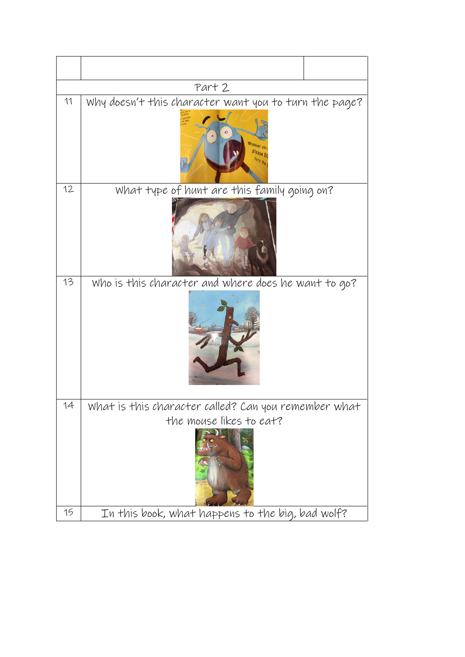|    | Part 2                                                |
|----|-------------------------------------------------------|
| 11 | Why doesn't this character want you to turn the page? |
|    | Whatever yr<br>please D                               |
| 12 | What type of hunt are this family going on?           |
|    |                                                       |
| 13 | Who is this character and where does he want to go?   |
|    |                                                       |
| 14 | What is this character called? Can you remember what  |
|    | the mouse likes to eat?                               |
|    |                                                       |
| 15 | In this book, what happens to the big, bad wolf?      |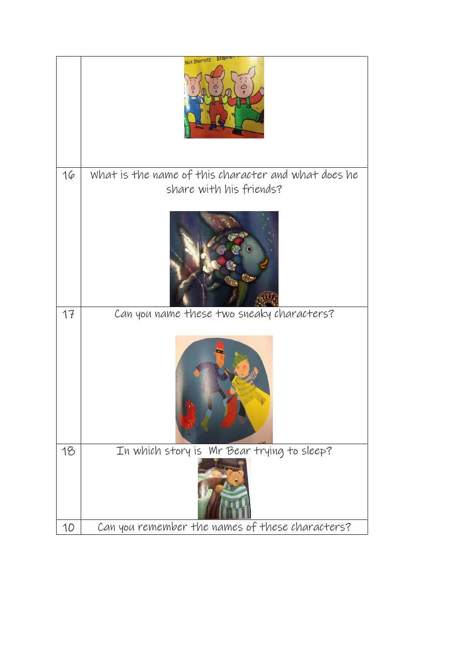|    | Nick Sharratt Stephen                               |
|----|-----------------------------------------------------|
| 16 | What is the name of this character and what does he |
|    | share with his friends?                             |
|    |                                                     |
| 17 | Can you name these two sneaky characters?           |
|    |                                                     |
| 18 | In which story is Mr Bear trying to sleep?          |
| 10 | Can you remember the names of these characters?     |